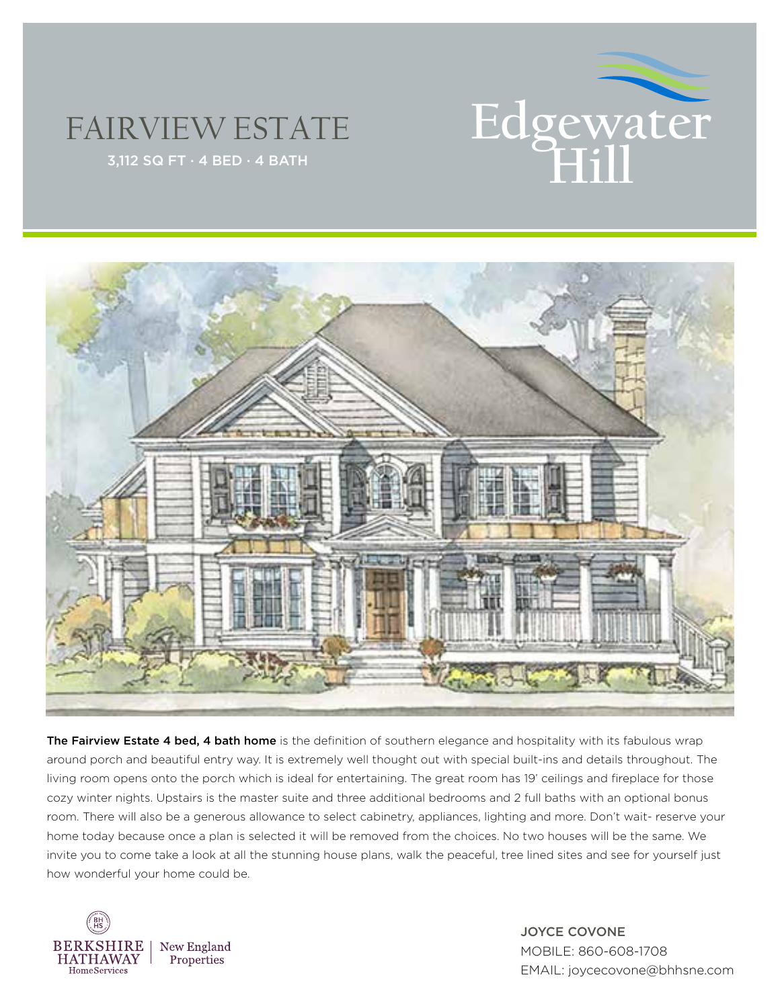

## FAIRVIEW ESTATE





The Fairview Estate 4 bed, 4 bath home is the definition of southern elegance and hospitality with its fabulous wrap around porch and beautiful entry way. It is extremely well thought out with special built-ins and details throughout. The living room opens onto the porch which is ideal for entertaining. The great room has 19' ceilings and fireplace for those cozy winter nights. Upstairs is the master suite and three additional bedrooms and 2 full baths with an optional bonus room. There will also be a generous allowance to select cabinetry, appliances, lighting and more. Don't wait- reserve your home today because once a plan is selected it will be removed from the choices. No two houses will be the same. We invite you to come take a look at all the stunning house plans, walk the peaceful, tree lined sites and see for yourself just how wonderful your home could be.



JOYCE COVONE MOBILE: 860-608-1708 EMAIL: joycecovone@bhhsne.com